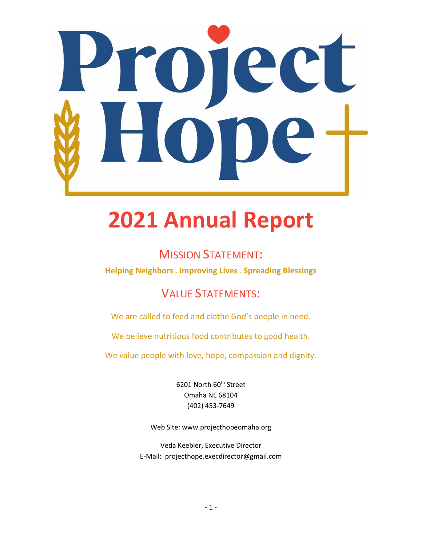

# **2021 Annual Report**

### MISSION STATEMENT:

**Helping Neighbors <sup>~</sup> Improving Lives <sup>~</sup> Spreading Blessings**

## VALUE STATEMENTS:

We are called to feed and clothe God's people in need.

We believe nutritious food contributes to good health.

We value people with love, hope, compassion and dignity.

6201 North 60<sup>th</sup> Street Omaha NE 68104 (402) 453-7649

Web Site: www.projecthopeomaha.org

Veda Keebler, Executive Director E-Mail: projecthope.execdirector@gmail.com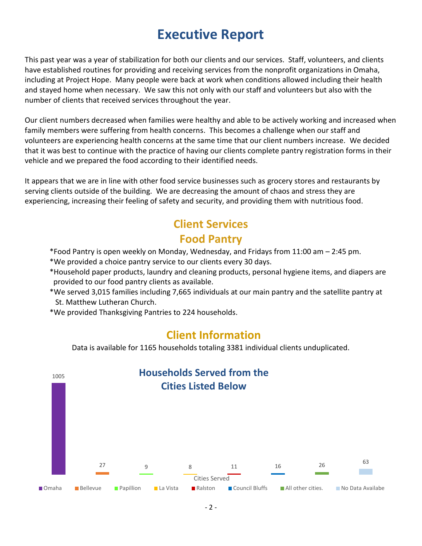## **Executive Report**

This past year was a year of stabilization for both our clients and our services. Staff, volunteers, and clients have established routines for providing and receiving services from the nonprofit organizations in Omaha, including at Project Hope. Many people were back at work when conditions allowed including their health and stayed home when necessary. We saw this not only with our staff and volunteers but also with the number of clients that received services throughout the year.

Our client numbers decreased when families were healthy and able to be actively working and increased when family members were suffering from health concerns. This becomes a challenge when our staff and volunteers are experiencing health concerns at the same time that our client numbers increase. We decided that it was best to continue with the practice of having our clients complete pantry registration forms in their vehicle and we prepared the food according to their identified needs.

It appears that we are in line with other food service businesses such as grocery stores and restaurants by serving clients outside of the building. We are decreasing the amount of chaos and stress they are experiencing, increasing their feeling of safety and security, and providing them with nutritious food.

## **Client Services Food Pantry**

- \*Food Pantry is open weekly on Monday, Wednesday, and Fridays from 11:00 am 2:45 pm.
- \*We provided a choice pantry service to our clients every 30 days.
- \*Household paper products, laundry and cleaning products, personal hygiene items, and diapers are provided to our food pantry clients as available.
- \*We served 3,015 families including 7,665 individuals at our main pantry and the satellite pantry at St. Matthew Lutheran Church.
- \*We provided Thanksgiving Pantries to 224 households.

#### **Client Information**

Data is available for 1165 households totaling 3381 individual clients unduplicated.

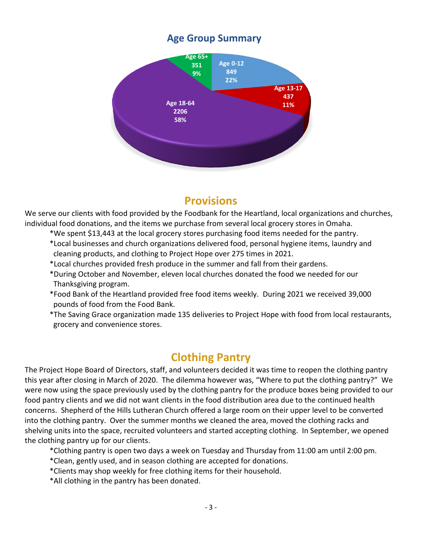#### **Age Group Summary**



#### **Provisions**

We serve our clients with food provided by the Foodbank for the Heartland, local organizations and churches, individual food donations, and the items we purchase from several local grocery stores in Omaha.

- \*We spent \$13,443 at the local grocery stores purchasing food items needed for the pantry.
- \*Local businesses and church organizations delivered food, personal hygiene items, laundry and cleaning products, and clothing to Project Hope over 275 times in 2021.
- \*Local churches provided fresh produce in the summer and fall from their gardens.
- \*During October and November, eleven local churches donated the food we needed for our Thanksgiving program.
- \*Food Bank of the Heartland provided free food items weekly. During 2021 we received 39,000 pounds of food from the Food Bank.
- \*The Saving Grace organization made 135 deliveries to Project Hope with food from local restaurants, grocery and convenience stores.

## **Clothing Pantry**

The Project Hope Board of Directors, staff, and volunteers decided it was time to reopen the clothing pantry this year after closing in March of 2020. The dilemma however was, "Where to put the clothing pantry?" We were now using the space previously used by the clothing pantry for the produce boxes being provided to our food pantry clients and we did not want clients in the food distribution area due to the continued health concerns. Shepherd of the Hills Lutheran Church offered a large room on their upper level to be converted into the clothing pantry. Over the summer months we cleaned the area, moved the clothing racks and shelving units into the space, recruited volunteers and started accepting clothing. In September, we opened the clothing pantry up for our clients.

- \*Clothing pantry is open two days a week on Tuesday and Thursday from 11:00 am until 2:00 pm.
- \*Clean, gently used, and in season clothing are accepted for donations.
- \*Clients may shop weekly for free clothing items for their household.
- \*All clothing in the pantry has been donated.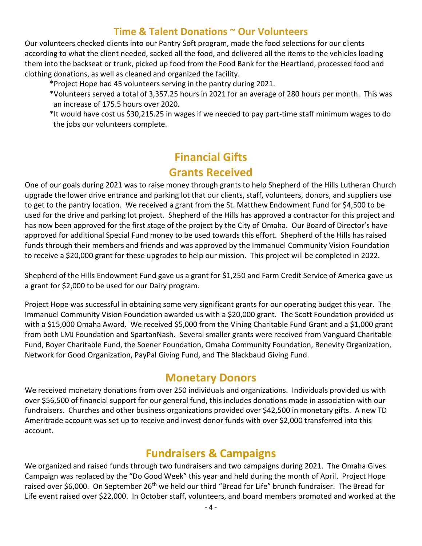#### **Time & Talent Donations ~ Our Volunteers**

Our volunteers checked clients into our Pantry Soft program, made the food selections for our clients according to what the client needed, sacked all the food, and delivered all the items to the vehicles loading them into the backseat or trunk, picked up food from the Food Bank for the Heartland, processed food and clothing donations, as well as cleaned and organized the facility.

\*Project Hope had 45 volunteers serving in the pantry during 2021.

- \*Volunteers served a total of 3,357.25 hours in 2021 for an average of 280 hours per month. This was an increase of 175.5 hours over 2020.
- \*It would have cost us \$30,215.25 in wages if we needed to pay part-time staff minimum wages to do the jobs our volunteers complete.

## **Financial Gifts Grants Received**

One of our goals during 2021 was to raise money through grants to help Shepherd of the Hills Lutheran Church upgrade the lower drive entrance and parking lot that our clients, staff, volunteers, donors, and suppliers use to get to the pantry location. We received a grant from the St. Matthew Endowment Fund for \$4,500 to be used for the drive and parking lot project. Shepherd of the Hills has approved a contractor for this project and has now been approved for the first stage of the project by the City of Omaha. Our Board of Director's have approved for additional Special Fund money to be used towards this effort. Shepherd of the Hills has raised funds through their members and friends and was approved by the Immanuel Community Vision Foundation to receive a \$20,000 grant for these upgrades to help our mission. This project will be completed in 2022.

Shepherd of the Hills Endowment Fund gave us a grant for \$1,250 and Farm Credit Service of America gave us a grant for \$2,000 to be used for our Dairy program.

Project Hope was successful in obtaining some very significant grants for our operating budget this year. The Immanuel Community Vision Foundation awarded us with a \$20,000 grant. The Scott Foundation provided us with a \$15,000 Omaha Award. We received \$5,000 from the Vining Charitable Fund Grant and a \$1,000 grant from both LMJ Foundation and SpartanNash. Several smaller grants were received from Vanguard Charitable Fund, Boyer Charitable Fund, the Soener Foundation, Omaha Community Foundation, Benevity Organization, Network for Good Organization, PayPal Giving Fund, and The Blackbaud Giving Fund.

#### **Monetary Donors**

We received monetary donations from over 250 individuals and organizations. Individuals provided us with over \$56,500 of financial support for our general fund, this includes donations made in association with our fundraisers. Churches and other business organizations provided over \$42,500 in monetary gifts. A new TD Ameritrade account was set up to receive and invest donor funds with over \$2,000 transferred into this account.

#### **Fundraisers & Campaigns**

We organized and raised funds through two fundraisers and two campaigns during 2021. The Omaha Gives Campaign was replaced by the "Do Good Week" this year and held during the month of April. Project Hope raised over \$6,000. On September 26<sup>th</sup> we held our third "Bread for Life" brunch fundraiser. The Bread for Life event raised over \$22,000. In October staff, volunteers, and board members promoted and worked at the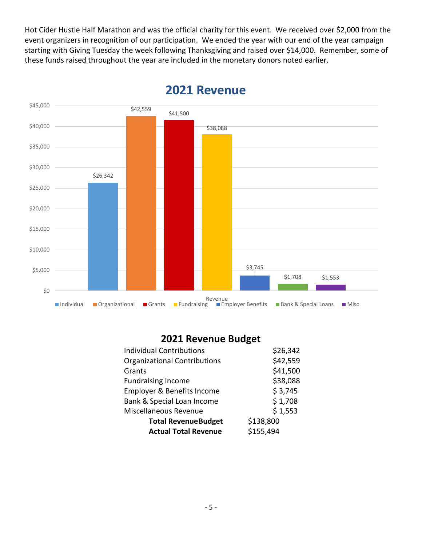Hot Cider Hustle Half Marathon and was the official charity for this event. We received over \$2,000 from the event organizers in recognition of our participation. We ended the year with our end of the year campaign starting with Giving Tuesday the week following Thanksgiving and raised over \$14,000. Remember, some of these funds raised throughout the year are included in the monetary donors noted earlier.



#### **2021 Revenue**

#### **2021 Revenue Budget**

| <b>Individual Contributions</b>       | \$26,342  |  |
|---------------------------------------|-----------|--|
| <b>Organizational Contributions</b>   | \$42,559  |  |
| Grants                                | \$41,500  |  |
| <b>Fundraising Income</b>             | \$38,088  |  |
| <b>Employer &amp; Benefits Income</b> | \$3,745   |  |
| Bank & Special Loan Income            | \$1,708   |  |
| Miscellaneous Revenue                 | \$1,553   |  |
| <b>Total RevenueBudget</b>            | \$138,800 |  |
| <b>Actual Total Revenue</b>           | \$155,494 |  |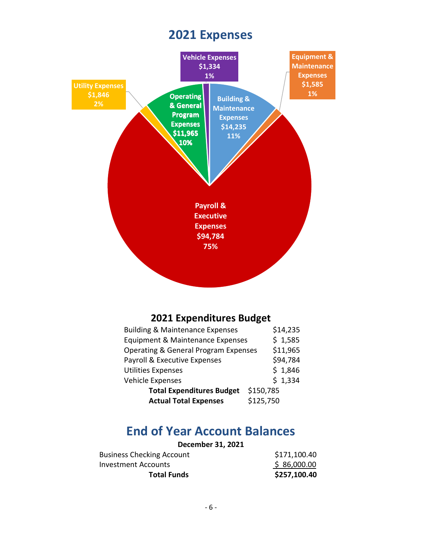## **2021 Expenses**



#### **2021 Expenditures Budget**

| <b>Building &amp; Maintenance Expenses</b> |           | \$14,235 |
|--------------------------------------------|-----------|----------|
| Equipment & Maintenance Expenses           |           | \$1,585  |
| Operating & General Program Expenses       |           | \$11,965 |
| Payroll & Executive Expenses               |           | \$94,784 |
| <b>Utilities Expenses</b>                  |           | \$1,846  |
| Vehicle Expenses                           |           | \$1,334  |
| <b>Total Expenditures Budget</b>           | \$150,785 |          |
| <b>Actual Total Expenses</b>               | \$125,750 |          |

## **End of Year Account Balances**

| December 31, 2021                |              |
|----------------------------------|--------------|
| <b>Business Checking Account</b> | \$171,100.40 |
| Investment Accounts              | \$86,000.00  |
| <b>Total Funds</b>               | \$257,100.40 |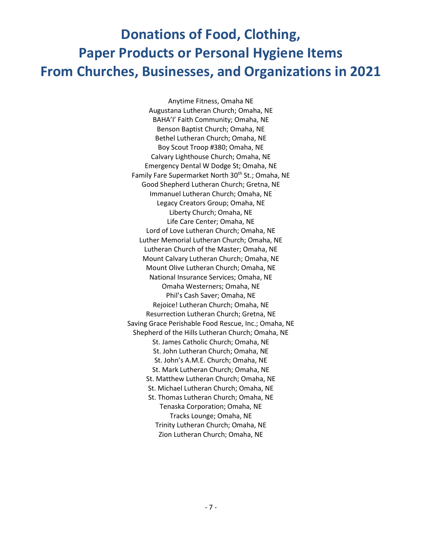## **Donations of Food, Clothing, Paper Products or Personal Hygiene Items From Churches, Businesses, and Organizations in 2021**

Anytime Fitness, Omaha NE Augustana Lutheran Church; Omaha, NE BAHA'I' Faith Community; Omaha, NE Benson Baptist Church; Omaha, NE Bethel Lutheran Church; Omaha, NE Boy Scout Troop #380; Omaha, NE Calvary Lighthouse Church; Omaha, NE Emergency Dental W Dodge St; Omaha, NE Family Fare Supermarket North 30<sup>th</sup> St.; Omaha, NE Good Shepherd Lutheran Church; Gretna, NE Immanuel Lutheran Church; Omaha, NE Legacy Creators Group; Omaha, NE Liberty Church; Omaha, NE Life Care Center; Omaha, NE Lord of Love Lutheran Church; Omaha, NE Luther Memorial Lutheran Church; Omaha, NE Lutheran Church of the Master; Omaha, NE Mount Calvary Lutheran Church; Omaha, NE Mount Olive Lutheran Church; Omaha, NE National Insurance Services; Omaha, NE Omaha Westerners; Omaha, NE Phil's Cash Saver; Omaha, NE Rejoice! Lutheran Church; Omaha, NE Resurrection Lutheran Church; Gretna, NE Saving Grace Perishable Food Rescue, Inc.; Omaha, NE Shepherd of the Hills Lutheran Church; Omaha, NE St. James Catholic Church; Omaha, NE St. John Lutheran Church; Omaha, NE St. John's A.M.E. Church; Omaha, NE St. Mark Lutheran Church; Omaha, NE St. Matthew Lutheran Church; Omaha, NE St. Michael Lutheran Church; Omaha, NE St. Thomas Lutheran Church; Omaha, NE Tenaska Corporation; Omaha, NE Tracks Lounge; Omaha, NE Trinity Lutheran Church; Omaha, NE Zion Lutheran Church; Omaha, NE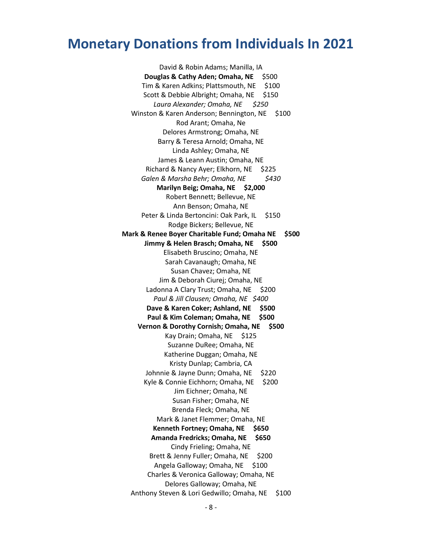David & Robin Adams; Manilla, IA **Douglas & Cathy Aden; Omaha, NE** \$500 Tim & Karen Adkins; Plattsmouth, NE \$100 Scott & Debbie Albright; Omaha, NE \$150 *Laura Alexander; Omaha, NE \$250* Winston & Karen Anderson; Bennington, NE \$100 Rod Arant; Omaha, Ne Delores Armstrong; Omaha, NE Barry & Teresa Arnold; Omaha, NE Linda Ashley; Omaha, NE James & Leann Austin; Omaha, NE Richard & Nancy Ayer; Elkhorn, NE \$225 *Galen & Marsha Behr; Omaha, NE \$430* **Marilyn Beig; Omaha, NE \$2,000** Robert Bennett; Bellevue, NE Ann Benson; Omaha, NE Peter & Linda Bertoncini: Oak Park, IL \$150 Rodge Bickers; Bellevue, NE **Mark & Renee Boyer Charitable Fund; Omaha NE \$500 Jimmy & Helen Brasch; Omaha, NE \$500** Elisabeth Bruscino; Omaha, NE Sarah Cavanaugh; Omaha, NE Susan Chavez; Omaha, NE Jim & Deborah Ciurej; Omaha, NE Ladonna A Clary Trust; Omaha, NE \$200 *Paul & Jill Clausen; Omaha, NE \$400* **Dave & Karen Coker; Ashland, NE \$500 Paul & Kim Coleman; Omaha, NE \$500 Vernon & Dorothy Cornish; Omaha, NE \$500** Kay Drain; Omaha, NE \$125 Suzanne DuRee; Omaha, NE Katherine Duggan; Omaha, NE Kristy Dunlap; Cambria, CA Johnnie & Jayne Dunn; Omaha, NE \$220 Kyle & Connie Eichhorn; Omaha, NE \$200 Jim Eichner; Omaha, NE Susan Fisher; Omaha, NE Brenda Fleck; Omaha, NE Mark & Janet Flemmer; Omaha, NE **Kenneth Fortney; Omaha, NE \$650 Amanda Fredricks; Omaha, NE \$650** Cindy Frieling; Omaha, NE Brett & Jenny Fuller; Omaha, NE \$200 Angela Galloway; Omaha, NE \$100 Charles & Veronica Galloway; Omaha, NE Delores Galloway; Omaha, NE Anthony Steven & Lori Gedwillo; Omaha, NE \$100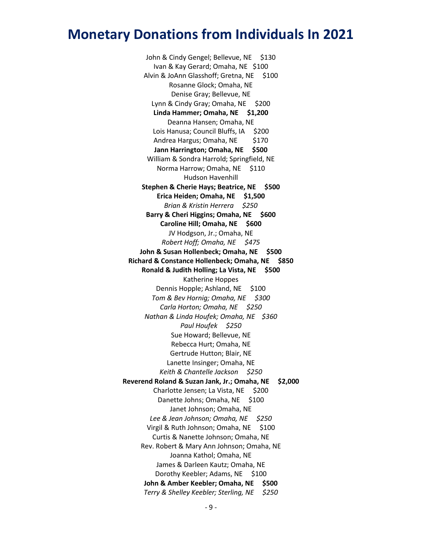John & Cindy Gengel; Bellevue, NE \$130 Ivan & Kay Gerard; Omaha, NE \$100 Alvin & JoAnn Glasshoff; Gretna, NE \$100 Rosanne Glock; Omaha, NE Denise Gray; Bellevue, NE Lynn & Cindy Gray; Omaha, NE \$200 **Linda Hammer; Omaha, NE \$1,200** Deanna Hansen; Omaha, NE Lois Hanusa; Council Bluffs, IA \$200 Andrea Hargus; Omaha, NE \$170 **Jann Harrington; Omaha, NE \$500** William & Sondra Harrold; Springfield, NE Norma Harrow; Omaha, NE \$110 Hudson Havenhill **Stephen & Cherie Hays; Beatrice, NE \$500 Erica Heiden; Omaha, NE \$1,500** *Brian & Kristin Herrera \$250* **Barry & Cheri Higgins; Omaha, NE \$600 Caroline Hill; Omaha, NE \$600** JV Hodgson, Jr.; Omaha, NE *Robert Hoff; Omaha, NE \$475* **John & Susan Hollenbeck; Omaha, NE \$500 Richard & Constance Hollenbeck; Omaha, NE \$850 Ronald & Judith Holling; La Vista, NE \$500** Katherine Hoppes Dennis Hopple; Ashland, NE \$100 *Tom & Bev Hornig; Omaha, NE \$300 Carla Horton; Omaha, NE \$250 Nathan & Linda Houfek; Omaha, NE \$360 Paul Houfek \$250* Sue Howard; Bellevue, NE Rebecca Hurt; Omaha, NE Gertrude Hutton; Blair, NE Lanette Insinger; Omaha, NE *Keith & Chantelle Jackson \$250* **Reverend Roland & Suzan Jank, Jr.; Omaha, NE \$2,000** Charlotte Jensen; La Vista, NE \$200 Danette Johns; Omaha, NE \$100 Janet Johnson; Omaha, NE *Lee & Jean Johnson; Omaha, NE \$250* Virgil & Ruth Johnson; Omaha, NE \$100 Curtis & Nanette Johnson; Omaha, NE Rev. Robert & Mary Ann Johnson; Omaha, NE Joanna Kathol; Omaha, NE James & Darleen Kautz; Omaha, NE Dorothy Keebler; Adams, NE \$100 **John & Amber Keebler; Omaha, NE \$500** *Terry & Shelley Keebler; Sterling, NE \$250*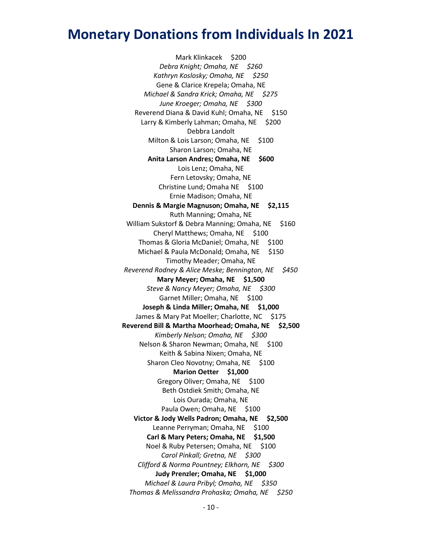Mark Klinkacek \$200 *Debra Knight; Omaha, NE \$260 Kathryn Koslosky; Omaha, NE \$250* Gene & Clarice Krepela; Omaha, NE *Michael & Sandra Krick; Omaha, NE \$275 June Kroeger; Omaha, NE \$300* Reverend Diana & David Kuhl; Omaha, NE \$150 Larry & Kimberly Lahman; Omaha, NE \$200 Debbra Landolt Milton & Lois Larson; Omaha, NE \$100 Sharon Larson; Omaha, NE **Anita Larson Andres; Omaha, NE \$600** Lois Lenz; Omaha, NE Fern Letovsky; Omaha, NE Christine Lund; Omaha NE \$100 Ernie Madison; Omaha, NE **Dennis & Margie Magnuson; Omaha, NE \$2,115** Ruth Manning; Omaha, NE William Sukstorf & Debra Manning; Omaha, NE \$160 Cheryl Matthews; Omaha, NE \$100 Thomas & Gloria McDaniel; Omaha, NE \$100 Michael & Paula McDonald; Omaha, NE \$150 Timothy Meader; Omaha, NE *Reverend Rodney & Alice Meske; Bennington, NE \$450* **Mary Meyer; Omaha, NE \$1,500** *Steve & Nancy Meyer; Omaha, NE \$300* Garnet Miller; Omaha, NE \$100 **Joseph & Linda Miller; Omaha, NE \$1,000** James & Mary Pat Moeller; Charlotte, NC \$175 **Reverend Bill & Martha Moorhead; Omaha, NE \$2,500** *Kimberly Nelson; Omaha, NE \$300* Nelson & Sharon Newman; Omaha, NE \$100 Keith & Sabina Nixen; Omaha, NE Sharon Cleo Novotny; Omaha, NE \$100 **Marion Oetter \$1,000** Gregory Oliver; Omaha, NE \$100 Beth Ostdiek Smith; Omaha, NE Lois Ourada; Omaha, NE Paula Owen; Omaha, NE \$100 **Victor & Jody Wells Padron; Omaha, NE \$2,500** Leanne Perryman; Omaha, NE \$100 **Carl & Mary Peters; Omaha, NE \$1,500** Noel & Ruby Petersen; Omaha, NE \$100 *Carol Pinkall; Gretna, NE \$300 Clifford & Norma Pountney; Elkhorn, NE \$300* **Judy Prenzler; Omaha, NE \$1,000** *Michael & Laura Pribyl; Omaha, NE \$350 Thomas & Melissandra Prohaska; Omaha, NE \$250*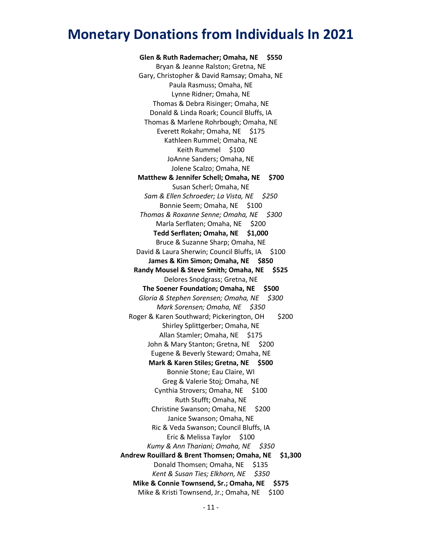**Glen & Ruth Rademacher; Omaha, NE \$550** Bryan & Jeanne Ralston; Gretna, NE Gary, Christopher & David Ramsay; Omaha, NE Paula Rasmuss; Omaha, NE Lynne Ridner; Omaha, NE Thomas & Debra Risinger; Omaha, NE Donald & Linda Roark; Council Bluffs, IA Thomas & Marlene Rohrbough; Omaha, NE Everett Rokahr; Omaha, NE \$175 Kathleen Rummel; Omaha, NE Keith Rummel \$100 JoAnne Sanders; Omaha, NE Jolene Scalzo; Omaha, NE **Matthew & Jennifer Schell; Omaha, NE \$700** Susan Scherl; Omaha, NE *Sam & Ellen Schroeder; La Vista, NE \$250* Bonnie Seem; Omaha, NE \$100 *Thomas & Roxanne Senne; Omaha, NE \$300* Marla Serflaten; Omaha, NE \$200 **Tedd Serflaten; Omaha, NE \$1,000** Bruce & Suzanne Sharp; Omaha, NE David & Laura Sherwin; Council Bluffs, IA \$100 **James & Kim Simon; Omaha, NE \$850 Randy Mousel & Steve Smith; Omaha, NE \$525** Delores Snodgrass; Gretna, NE **The Soener Foundation; Omaha, NE \$500** *Gloria & Stephen Sorensen; Omaha, NE \$300 Mark Sorensen; Omaha, NE \$350* Roger & Karen Southward; Pickerington, OH \$200 Shirley Splittgerber; Omaha, NE Allan Stamler; Omaha, NE \$175 John & Mary Stanton; Gretna, NE \$200 Eugene & Beverly Steward; Omaha, NE **Mark & Karen Stiles; Gretna, NE \$500** Bonnie Stone; Eau Claire, WI Greg & Valerie Stoj; Omaha, NE Cynthia Strovers; Omaha, NE \$100 Ruth Stufft; Omaha, NE Christine Swanson; Omaha, NE \$200 Janice Swanson; Omaha, NE Ric & Veda Swanson; Council Bluffs, IA Eric & Melissa Taylor \$100 *Kumy & Ann Thariani; Omaha, NE \$350* **Andrew Rouillard & Brent Thomsen; Omaha, NE \$1,300** Donald Thomsen; Omaha, NE \$135 *Kent & Susan Ties; Elkhorn, NE \$350* **Mike & Connie Townsend, Sr.; Omaha, NE \$575** Mike & Kristi Townsend, Jr.; Omaha, NE \$100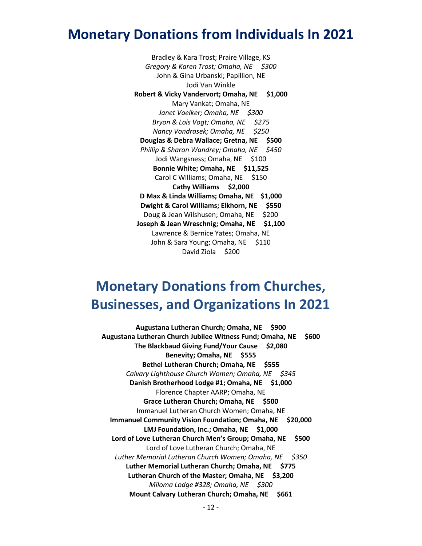Bradley & Kara Trost; Praire Village, KS *Gregory & Karen Trost; Omaha, NE \$300* John & Gina Urbanski; Papillion, NE Jodi Van Winkle **Robert & Vicky Vandervort; Omaha, NE \$1,000** Mary Vankat; Omaha, NE *Janet Voelker; Omaha, NE \$300 Bryon & Lois Vogt; Omaha, NE \$275 Nancy Vondrasek; Omaha, NE \$250* **Douglas & Debra Wallace; Gretna, NE \$500** *Phillip & Sharon Wandrey; Omaha, NE \$450* Jodi Wangsness; Omaha, NE \$100 **Bonnie White; Omaha, NE \$11,525** Carol C Williams; Omaha, NE \$150 **Cathy Williams \$2,000 D Max & Linda Williams; Omaha, NE \$1,000 Dwight & Carol Williams; Elkhorn, NE \$550** Doug & Jean Wilshusen; Omaha, NE \$200 **Joseph & Jean Wreschnig; Omaha, NE \$1,100** Lawrence & Bernice Yates; Omaha, NE John & Sara Young; Omaha, NE \$110 David Ziola \$200

## **Monetary Donations from Churches, Businesses, and Organizations In 2021**

**Augustana Lutheran Church; Omaha, NE \$900 Augustana Lutheran Church Jubilee Witness Fund; Omaha, NE \$600 The Blackbaud Giving Fund/Your Cause \$2,080 Benevity; Omaha, NE \$555 Bethel Lutheran Church; Omaha, NE \$555** *Calvary Lighthouse Church Women; Omaha, NE \$345* **Danish Brotherhood Lodge #1; Omaha, NE \$1,000** Florence Chapter AARP; Omaha, NE **Grace Lutheran Church; Omaha, NE \$500** Immanuel Lutheran Church Women; Omaha, NE **Immanuel Community Vision Foundation; Omaha, NE \$20,000 LMJ Foundation, Inc.; Omaha, NE \$1,000 Lord of Love Lutheran Church Men's Group; Omaha, NE \$500** Lord of Love Lutheran Church; Omaha, NE *Luther Memorial Lutheran Church Women; Omaha, NE \$350* **Luther Memorial Lutheran Church; Omaha, NE \$775 Lutheran Church of the Master; Omaha, NE \$3,200** *Miloma Lodge #328; Omaha, NE \$300* **Mount Calvary Lutheran Church; Omaha, NE \$661**